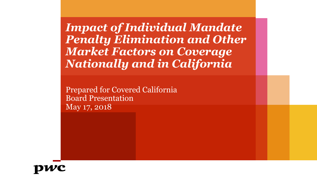*Impact of Individual Mandate Penalty Elimination and Other Market Factors on Coverage Nationally and in California* 

Prepared for Covered California Board Presentation May 17, 2018

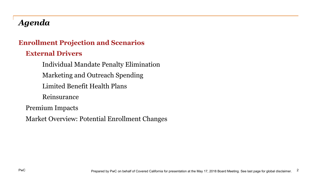# *Agenda*

#### **Enrollment Projection and Scenarios**

#### **External Drivers**

Individual Mandate Penalty Elimination Marketing and Outreach Spending Limited Benefit Health Plans Reinsurance Premium Impacts Market Overview: Potential Enrollment Changes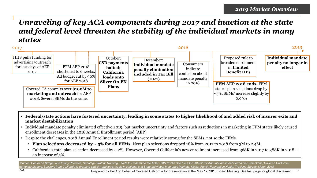### *Unraveling of key ACA components during 2017 and inaction at the state and federal level threaten the stability of the individual markets in many states*



- **Federal/state actions have fostered uncertainty, leading in some states to higher likelihood of and added risk of insurer exits and market destabilization**
- Individual mandate penalty eliminated effective 2019, but market uncertainty and factors such as reductions in marketing in FFM states likely caused enrollment decreases in the 2018 Annual Enrollment period (AEP)
- Despite the challenges, 2018 Annual Enrollment period results were relatively strong for the SBMs, not so the FFMs
	- **Plan selections decreased by ~ 5% for all FFMs.** New plan selections dropped 18% from 2017 to 2018 from 3M to 2.4M.
	- California's total plan selection decreased by ~ 2%. However, Covered California's new enrollment increased from 368K in 2017 to 388K in 2018 an increase of 5%.

Sources: Center on Budget and Policy Priorities, Sabotage Watch: Tracking Efforts to Undermine the ACA; CMS Public Use Files for 2018/2017 Annual Enrollment Period plan selections; Covered California, *Marketing Matters: Lessons from California to promote stability and lower costs in National and State Individual Insurance Markets; Kaiser Family Foundation Health Tracking Survey, March 2018* 

PwC 3 Prepared by PwC on behalf of Covered California for presentation at the May 17, 2018 Board Meeting. See last page for global disclaimer.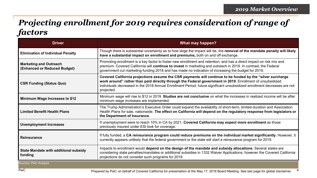### *Projecting enrollment for 2019 requires consideration of range of factors*

| <b>Driver</b>                                                 | What may happen?                                                                                                                                                                                                                                                                                                                                                  |
|---------------------------------------------------------------|-------------------------------------------------------------------------------------------------------------------------------------------------------------------------------------------------------------------------------------------------------------------------------------------------------------------------------------------------------------------|
| <b>Elimination of Individual Penalty</b>                      | Though there is substantial uncertainty as to how large the impact will be, the removal of the mandate penalty will likely<br>have a substantial impact on enrollment and premiums, both on and off exchange.                                                                                                                                                     |
| <b>Marketing and Outreach</b><br>(Enhanced or Reduced Budget) | Promoting enrollment is a key factor to foster new enrollment and retention, and has a direct impact on risk mix and<br>premium. Covered California will continue to invest in marketing and outreach in 2019. In contrast, the Federal<br>government cut marketing funding 2018 and has made no indication of increasing the budget for 2019.                    |
| <b>CSR Funding (Status Quo)</b>                               | Covered California projections assume the CSR payments will continue to be funded by the "silver surcharge<br>work around" rather than paid directly through the Federal government in 2019. Enrollment of unsubsidized<br>individuals decreased in the 2018 Annual Enrollment Period, future significant unsubsidized enrollment decreases are not<br>projected. |
| Minimum Wage Increases to \$12                                | Minimum wage will rise to \$12 in 2019. Studies are not conclusive on what the increases in realized income will be after<br>minimum wage increases are implemented.                                                                                                                                                                                              |
| <b>Limited Benefit Health Plans</b>                           | The Trump Administration's Executive Order could expand the availability of short-term, limited-duration and Association<br>Health Plans for sale, nationwide. The effect on California will depend on the regulatory response from legislators or<br>the Department of Insurance.                                                                                |
| <b>Unemployment Increases</b>                                 | If unemployment were to reach 10% in CA by 2021, Covered California may expect more enrollment as those<br>previously insured under ESI look for coverage.                                                                                                                                                                                                        |
| <b>Reinsurance</b>                                            | If fully funded, a CA reinsurance program could reduce premiums on the individual market significantly. However, it<br>currently appears unlikely that the federal government or the state will start a reinsurance program for 2019.                                                                                                                             |
| <b>State Mandate with additional subsidy</b><br>funding       | Impacts to enrollment would depend on the design of the mandate and subsidy allocations. Several states are<br>considering state penalties/mandates or additional subsidies in 1332 Waiver Applications; however the Covered California<br>projections do not consider such programs for 2019.                                                                    |
| Sources: PwC Analysis                                         |                                                                                                                                                                                                                                                                                                                                                                   |

PwC 4 Prepared by PwC on behalf of Covered California for presentation at the May 17, 2018 Board Meeting. See last page for global disclaimer.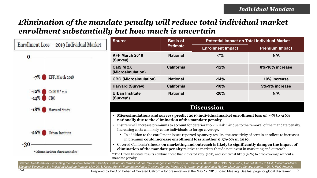### *Elimination of the mandate penalty will reduce total individual market enrollment substantially but how much is uncertain*



Sources: Health Affairs, Eliminating the Individual Mandate Penalty in California: Harmful but non fatal changes in enrollment and premiums, Match 2019; CBO, Nov. 2017; CalSIM Memo to CCA, Individual Market *Effects of Eliminating the Individual Mandate Penalty, May 2018; Kaiser Family Foundation Health Tracking Survey, March 2018; Urban Institute Health Reform Monitoring Survey, quarter 1 2017, PwC Analysis*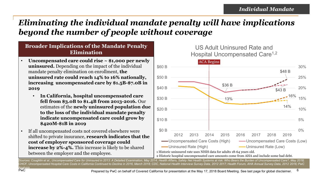# *Eliminating the individual mandate penalty will have implications beyond the number of people without coverage*

#### **Broader Implications of the Mandate Penalty Elimination**

- **Uncompensated care could rise ~ \$1,000 per newly uninsured.** Depending on the impact of the individual mandate penalty elimination on enrollment, **the uninsured rate could reach 14% to 16% nationally, increasing uncompensated care by \$1.5B-\$7.0B in 2019** 
	- **In California, hospital uncompensated care fell from \$3.0B to \$1.4B from 2013-2016.** Our estimates of the **newly uninsured population due to the loss of the individual mandate penalty indicate uncompensated care could grow by \$420M-\$1B in 2019**
- If all uncompensated costs not covered elsewhere were shifted to private insurance, **research indicates that the cost of employer sponsored coverage could increase by 2%-4%.** This increase is likely to be shared between the employer and the employee.

P<sub>w</sub>C



US Adult Uninsured Rate and

Hospital Uncompensated Care<sup>1,2</sup>

2 Historic hospital uncompensated care amounts come from AHA and include some bad debt.

Sources: Coughlin et al., Uncompensated Care for Uninsured in 2013: A Detailed Examination, May 2014; Health Affairs, Safety Net Health Systems at risk: Who Bears the Burden of Uncompensated Care?, May 2018; *CHCF, Uncompensated Hospital Care Costs in California Continued to Decline in 2016, March 2018; CDC, National Health Interview Survey Data, 2012 -2017; Health Forum, AHA Annual Survey Data, 2012 -2016; PwC*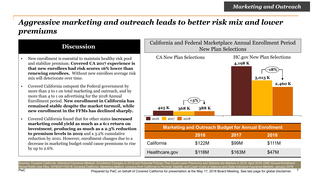### *Aggressive marketing and outreach leads to better risk mix and lower premiums*

#### **Discussion**

- New enrollment is essential to maintain healthy risk pool and stabilize premium. **Covered CA 2017 experience is that new enrollees had risk scores 16% lower than renewing enrollees.** Without new enrollees average risk mix will deteriorate over time.
- Covered California outspent the Federal government by more than 2 to 1 on total marketing and outreach, and by more than 4 to 1 on advertising for the 2018 Annual Enrollment period. **New enrollment in California has remained stable despite the market turmoil, while new enrollment in the FFMs has declined sharply.**
- Covered California found that for other states **increased marketing could yield as much as a 6:1 return on investment**, **producing as much as a 2.3% reduction to premium levels in 2019** and a 3.2% cumulative reduction by 2021. However, enrollment changes due to a decrease in marketing budget could cause premiums to rise by up to 2.6%.



Sources: Covered California, Individual Insurance Markets: Enrollment Changes in 2018 and Potential Policies That Could Lower Premiums and Stabilize the Markets in 2019, April 2018; CMS Annual Enrollment *Period Public Use Files, 2016/2017/2018; Covered California, Marketing Matters: Lessons from California to Promote Stability and Lower Costs in National and State Individual Insurance Markets, January 2018* 

PwC 7 Prepared by PwC on behalf of Covered California for presentation at the May 17, 2018 Board Meeting. See last page for global disclaimer.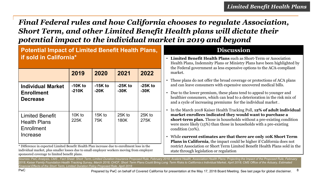### *Final Federal rules and how California chooses to regulate Association, Short Term, and other Limited Benefit Health plans will dictate their potential impact to the individual market in 2019 and beyond*

#### **Potential Impact of Limited Benefit Health Plans, if sold in California\***

|                                                                         | 2019                 | 2020                | 2021                | 2022                |
|-------------------------------------------------------------------------|----------------------|---------------------|---------------------|---------------------|
| <b>Individual Market</b><br><b>Enrollment</b><br><b>Decrease</b>        | $-10K$ to<br>$-210K$ | $-15K$ to<br>$-20K$ | $-25K$ to<br>$-30K$ | $-25K$ to<br>$-30K$ |
| <b>Limited Benefit</b><br><b>Health Plans</b><br>Enrollment<br>Increase | 10K to<br>225K       | $15K$ to<br>75K     | 25K to<br>180K      | 25K to<br>275K      |

 \* Difference in expected Limited Benefit Health Plan increase due to enrollment loss in the sponsored coverage to limited benefit plans. individual market, plus smaller losses due to small employer workers moving from employer

#### **Discussion**

- **Limited Benefit Health Plans** such as Short-Term or Association Health Plans, Indemnity Plans or Ministry Plans have been highlighted by the Federal government as less expensive options to the ACA-compliant market.
- These plans do not offer the broad coverage or protections of ACA plans and can leave consumers with expensive uncovered medical bills.
- Due to the lower premium, these plans tend to appeal to younger and healthier consumers, which can lead to a deterioration in the risk mix of and a cycle of increasing premiums for the individual market .
- In the March 2018 Kaiser Health Tracking Poll, **12% of adult individual market enrollees indicated they would want to purchase a short-term plan.** Those in households without a pre-existing condition were more likely (15%) than those in households with a pre-existing condition (10%).
- While **current estimates are that there are only 10K Short Term Plans in California**, the impact could be higher if California does not restrict Association or Short Term Limited Benefit Health Plans sold in the state through legislation or regulation

Sources: PwC Analysis, CMS, Fact Sheet: Short Term, Limited Duration Insurance Proposed Rule, February 2018; Avalere Health, Association Health Plans: Projecting the Impact of the Proposed Rule, February 2018; Kaiser Family Foundation Health Tracking Survey, March 2018; CHCF, Short Term Plans Could Bring Long Term Risks to California s Individual Market, April 2018; CMS Office of the Actuary, Estimated Financial Effects of the Short Term, Limited Duration Policy Proposed Rule, April 2018

PwC 8 Prepared by PwC on behalf of Covered California for presentation at the May 17, 2018 Board Meeting. See last page for global disclaimer.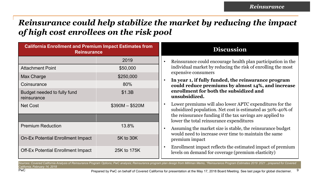# *Reinsurance could help stabilize the market by reducing the impact of high cost enrollees on the risk pool*

| <b>California Enrollment and Premium Impact Estimates from</b><br><b>Reinsurance</b> |             | <b>Discussion</b>                                                                                                      |
|--------------------------------------------------------------------------------------|-------------|------------------------------------------------------------------------------------------------------------------------|
|                                                                                      | 2019        | Reinsurance could encourage health plan participation in the                                                           |
| <b>Attachment Point</b>                                                              | \$50,000    | individual market by reducing the risk of enrolling the most                                                           |
| Max Charge                                                                           | \$250,000   | expensive consumers<br>In year 1, if fully funded, the reinsurance program                                             |
| Coinsurance                                                                          | 80%         | could reduce premiums by almost 14%, and increase                                                                      |
| Budget needed to fully fund<br>reinsurance                                           | \$1.3B      | enrollment for both the subsidized and<br>unsubsidized.                                                                |
| $$390M - $520M$<br><b>Net Cost</b>                                                   |             | Lower premiums will also lower APTC expenditures for the<br>subsidized population. Net cost is estimated as 30%-40% of |
|                                                                                      |             | the reinsurance funding if the tax savings are applied to<br>lower the total reinsurance expenditures                  |
| <b>Premium Reduction</b>                                                             | 13.8%       | Assuming the market size is stable, the reinsurance budget<br>would need to increase over time to maintain the same    |
| <b>On-Ex Potential Enrollment Impact</b>                                             | 5K to 30K   | premium impact                                                                                                         |
| <b>Off-Ex Potential Enrollment Impact</b>                                            | 25K to 175K | Enrollment impact reflects the estimated impact of premium<br>levels on demand for coverage (premium elasticity)       |

Sources: Covered California Analysis of Reinsurance Program Options; PwC analysis; Reinsurance program flan design from Milliman Memo, "Reinsurance Program Estimates 2019 2021, prepared for Covered *California, February 14, 2018* 

<sup>9</sup> PwC states the Prepared by PwC on behalf of Covered California for presentation at the May 17, 2018 Board Meeting. See last page for global disclaimer. <sup>9</sup>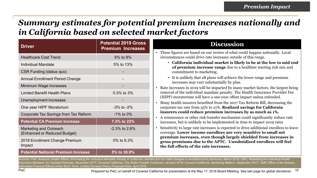# *Summary estimates for potential premium increases nationally and in California based on selected market factors*

| <b>Driver</b>                                                 | <b>Potential 2019 Gross</b><br><b>Premium Increases</b> |
|---------------------------------------------------------------|---------------------------------------------------------|
| <b>Healthcare Cost Trend</b>                                  | 6% to 8%                                                |
| <b>Individual Mandate</b>                                     | 5% to 13%                                               |
| <b>CSR Funding (status quo)</b>                               |                                                         |
| <b>Annual Enrollment Period Change</b>                        |                                                         |
| Minimum Wage Increases                                        |                                                         |
| <b>Limited Benefit Health Plans</b>                           | 0.3% to 3%                                              |
| Unemployment Increases                                        |                                                         |
| One year HIPF Moratorium                                      | $-3\%$ to $-2\%$                                        |
| Corporate Tax Savings from Tax Reform                         | $-1\%$ to 0%                                            |
| <b>Potential CA Premium Increase</b>                          | 7.3% to 22%                                             |
| <b>Marketing and Outreach</b><br>(Enhanced or Reduced Budget) | $-2.3\%$ to 2.6%                                        |
| 2018 Enrollment Change Premium<br>Impact                      | 0% to 6.3%                                              |
| <b>Potential National Premium Increase</b>                    | 5% to 30.9%                                             |

#### **Discussion**

- These figures are based on our review of what could happen nationally. Local circumstances could drive rate increases outside of this range.
	- **California individual market is likely to be at the low to mid end of premium increase range** due to a healthier starting risk mix and commitment to marketing.
	- It is unlikely that all plans will achieve the lower range and premium increases may vary substantially by plan.
- Rate increases in 2019 will be impacted by many market factors, the largest being removal of the individual mandate penalty. The Health Insurance Provider Fee (HIPF) moratorium will have a one-year offset impact unless extended.
- Many health insurers benefited from the 2017 Tax Reform Bill, decreasing the corporate tax rate from 35% to 21%. **Realized savings for California insurers could reduce premium increases by as much as 1%.**
- A reinsurance or other risk transfer mechanism could significantly reduce rate increases, but is unlikely to be implemented in time to impact 2019 rates
- Sensitivity to large rate increases is expected to drive additional enrollees to leave coverage. **Lower income enrollees are very sensitive to small net premium increases, even though largely shielded from increases in gross premiums due to the APTC. Unsubsidized enrollees will feel the full effects of the rate increases.**

Sources: PwC Analysis; Health Affairs, Eliminating the Individual Mandate Penalty in California: Harmful but non fatal changes in enrollment and premiums, March 2019; CBO, Repealing the Individual Health Insurance Mandate: An Updated Estimate, November 2017; Covered California, The Roller Coaster Continues, January 2018; Covered California, Marketing Matters, September 2017; CMS Office of the Actuary, *Estimated Financial Effects of the Short -Term, Limited -Duration Policy Proposed Rule, April 2018* 

PwC 10 Prepared by PwC on behalf of Covered California for presentation at the May 17, 2018 Board Meeting. See last page for global disclaimer.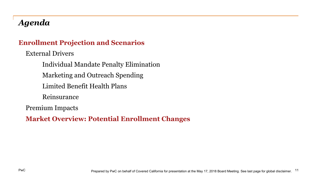# *Agenda*

#### **Enrollment Projection and Scenarios**

External Drivers

Individual Mandate Penalty Elimination Marketing and Outreach Spending Limited Benefit Health Plans

Reinsurance

Premium Impacts

**Market Overview: Potential Enrollment Changes**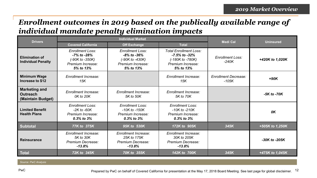### *Enrollment outcomes in 2019 based on the publically available range of individual mandate penalty elimination impacts*

| <b>Drivers</b>                                               |                                                                                               | <b>Individual Market</b>                                                                            | <b>Medi Cal</b>                                                                                              | <b>Uninsured</b>                       |                 |
|--------------------------------------------------------------|-----------------------------------------------------------------------------------------------|-----------------------------------------------------------------------------------------------------|--------------------------------------------------------------------------------------------------------------|----------------------------------------|-----------------|
|                                                              | <b>Covered California</b>                                                                     | <b>Off Exchange</b>                                                                                 | <b>Total</b>                                                                                                 |                                        |                 |
| <b>Elimination of</b><br><b>Individual Penalty</b>           | <b>Enrollment Loss:</b><br>-7% to -28%<br>$(-90K to -350K)$<br>Premium Increase:<br>5% to 13% | <b>Enrollment Loss:</b><br>$-8\%$ to $-36\%$<br>$(-90K to -430K)$<br>Premium Increase:<br>5% to 13% | <b>Total Enrollment Loss:</b><br>$-7.5\%$ to $-32\%$<br>$(-180K to -780K)$<br>Premium Increase:<br>5% to 13% | <b>Enrollment Loss:</b><br>$-240K$     | +420K to 1,020K |
| <b>Minimum Wage</b><br>Increase to \$12                      | Enrollment Increase:<br>15K                                                                   |                                                                                                     | <b>Enrollment Increase:</b><br>15K                                                                           | <b>Enrollment Decrease:</b><br>$-105K$ | $+90K$          |
| <b>Marketing and</b><br><b>Outreach</b><br>(Maintain Budget) | Enrollment Increase:<br>0K to 20K                                                             | Enrollment Increase:<br>5K to 50K                                                                   | <b>Enrollment Increase:</b><br>5K to 70K                                                                     |                                        | $-5K$ to $-70K$ |
| <b>Limited Benefit</b><br><b>Health Plans</b>                | <b>Enrollment Loss:</b><br>$-2K$ to $-60K$<br>Premium Increase:<br>$0.3\%$ to $3\%$           | <b>Enrollment Loss:</b><br>$-10K$ to $-150K$<br>Premium Increase:<br>$0.3\%$ to $3\%$               | <b>Enrollment Loss:</b><br>$-10K$ to $-210K$<br>Premium Increase:<br>$0.3\%$ to $3\%$                        |                                        | 0K              |
| <b>Subtotal</b>                                              | 77K to 375K                                                                                   | 95K to 530K                                                                                         | 172K to 905K                                                                                                 | 345K                                   | +505K to 1,250K |
| <b>Reinsurance</b>                                           | Enrollment Increase:<br>5K to 30K<br>Premium Decrease:<br>$-13.8%$                            | Enrollment Increase:<br>25K to 175K<br>Premium Decrease:<br>$-13.8%$                                | Enrollment Increase:<br>30K to 205K<br>Premium Decrease:<br>$-13.8%$                                         |                                        | -30K to -205K   |
| <b>Total</b>                                                 | 72K to 345K                                                                                   | 70K to 355K                                                                                         | 142K to 700K                                                                                                 | 345K                                   | +475K to 1,045K |

*Source: PwC Analysis*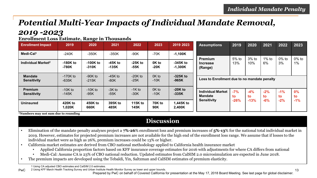# *Potential Multi-Year Impacts of Individual Mandate Removal,*

#### *2019 -2023*

**Enrollment Loss Estimate, Range in Thousands** 

| <b>Enrollment Impact</b>             | 2019                  | 2020                  | 2021                 | 2022                | 2023            | 2019 2023               | <b>Assumptions</b>                                               | 2019         | 2020         | 2021           | 2022           | 2023              |
|--------------------------------------|-----------------------|-----------------------|----------------------|---------------------|-----------------|-------------------------|------------------------------------------------------------------|--------------|--------------|----------------|----------------|-------------------|
| Medi-Cal <sup>1</sup>                | $-240K$               | $-350K$               | $-350K$              | $-90K$              | $-70K$          | $-1,100K$               |                                                                  |              |              |                |                |                   |
| Individual Market <sup>2</sup>       | $-180K$ to<br>-780K   | $-100K$ to<br>$-310K$ | $-45K$ to<br>$-135K$ | $-25K$ to<br>$-55K$ | 0K to<br>-20K   | $-345K$ to<br>$-1,300K$ | Premium<br><b>Increase</b><br>(Range)                            | 5% to<br>13% | 3% to<br>10% | $1\%$ to<br>6% | $0\%$ to<br>3% | $0\%$ to<br>$1\%$ |
| <b>Mandate</b><br><b>Sensitivity</b> | $-170K$ to<br>$-635K$ | $-90K$ to<br>$-215K$  | $-45K$ to<br>$-80K$  | $-20K$ to<br>$-25K$ | 0K to<br>$-10K$ | $-325K$ to<br>$-965K$   | Loss to Enrollment due to no mandate penalty                     |              |              |                |                |                   |
| <b>Premium</b><br><b>Sensitivity</b> | $-10K$ to<br>$-145K$  | $-10K$ to<br>$-95K$   | $-3K$ to<br>$-55K$   | $-1K$ to<br>$-30K$  | 0K to<br>$-10K$ | $-20K$ to<br>$-335K$    | <b>Individual Market</b><br><b>Mandate</b><br><b>Sensitivity</b> | $-7%$<br>to  | $-4%$<br>to  | $-2%$<br>to    | $-1%$<br>to    | $0\%$<br>to       |
| <b>Uninsured</b>                     | 420K to<br>1,020K     | 450K to<br>660K       | 395K to<br>485K      | 115K to<br>145K     | 70K to<br>90K   | 1,445K to<br>2,400K     |                                                                  | $-26%$       | $-13%$       | $-6%$          | $-2%$          | $-1%$             |

**\*Numbers may not sum due to rounding** 

#### **Discussion**

- Elimination of the mandate penalty analyses project a **7%-26**% enrollment loss and premium increases of **5%-13**% for the national total individual market in 2019. However, estimates for projected premium increases are not available for the high end of the enrollment loss range. We assume that if losses to the individual market were as high as 26%, premium increases could be 13% or higher.
- California market estimates are derived from CBO national methodology applied to California health insurance market
	- Applied California proportion factors based on KFF insurance coverage estimates for 2016 with adjustments for where CA differs from national
	- Medi-Cal: Assume CA is 23% of CBO national reduction. Updated estimates from CalSIM 2.0 microsimulation are expected in June 2018.
- The premium impacts are developed using the Tebaldi, Yin, Saltzman and CalSIM estimates of premium elasticity.

<sup>1</sup> Using CA adjusted CBO estimates and CalSIM 2.0 estimates.

PwC 2 Using KFF March Health Tracking Survey and Urban Institute Health Monitor Survey as lower and upper bounds. 13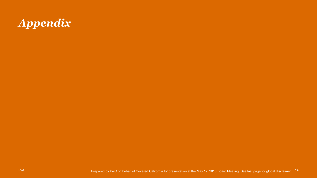# *Appendix*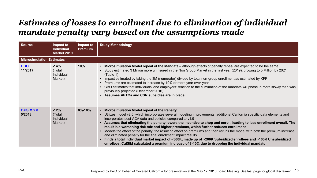### *Estimates of losses to enrollment due to elimination of individual mandate penalty vary based on the assumptions made*

| <b>Source</b>                    | Impact to<br><b>Individual</b><br><b>Market 2019</b> | Impact to<br><b>Premium</b> | <b>Study Methodology</b>                                                                                                                                                                                                                                                                                                                                                                                                                                                                                                                                                                                                                                                                                                                                                                                                                                                        |
|----------------------------------|------------------------------------------------------|-----------------------------|---------------------------------------------------------------------------------------------------------------------------------------------------------------------------------------------------------------------------------------------------------------------------------------------------------------------------------------------------------------------------------------------------------------------------------------------------------------------------------------------------------------------------------------------------------------------------------------------------------------------------------------------------------------------------------------------------------------------------------------------------------------------------------------------------------------------------------------------------------------------------------|
| <b>Microsimulation Estimates</b> |                                                      |                             |                                                                                                                                                                                                                                                                                                                                                                                                                                                                                                                                                                                                                                                                                                                                                                                                                                                                                 |
| CBO<br>11/2017                   | $-14%$<br>(Total<br>Individual<br>Market)            | 10%                         | . Microsimulation Model repeal of the Mandate - although effects of penalty repeal are expected to be the same<br>• Study estimated 3 Million more uninsured in the Non Group Market in the first year (2019), growing to 5 Million by 2021<br>(Table 1)<br>• Impact estimated by taking the 3M (numerator) divided by total non-group enrollment as estimated by KFF<br>• Premiums are estimated to increase by 10% or more year-over-year<br>• CBO estimates that individuals' and employers' reaction to the elimination of the mandate will phase in more slowly than was<br>previously projected (December 2016)<br>• Assumes APTCs and CSR subsidies are in place                                                                                                                                                                                                         |
| <b>CalSIM 2.0</b><br>5/2018      | $-12%$<br>(Total<br>Individual<br>Market)            | $8\% - 10\%$                | <b>Microsimulation Model repeal of the Penalty</b><br>Utilizes model v2.0, which incorporates several modeling improvements, additional California specific data elements and<br>incorporates post-ACA data and policies compared to v1.9<br>Assumes that eliminating the penalty lowers the incentive to shop and enroll, leading to less enrollment overall. The<br>result is a worsening risk mix and higher premiums, which further reduces enrollment<br>Models the effect of the penalty, the resulting effect on premiums and then reruns the model with both the premium increase<br>and eliminated penalty for the final enrollment impact results<br>Finds a total individual market impact of ~300K, made up of ~200K Subsidized enrollees and ~100K Unsubsidized<br>enrollees. CalSIM calculated a premium increase of 8-10% due to dropping the individual mandate |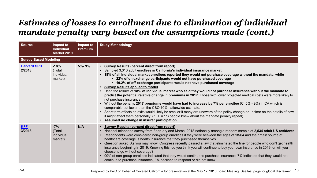# *Estimates of losses to enrollment due to elimination of individual mandate penalty vary based on the assumptions made (cont.)*

| <b>Source</b>                | Impact to<br><b>Individual</b><br><b>Market 2019</b> | Impact to<br><b>Premium</b> | <b>Study Methodology</b>                                                                                                                                                                                                                                                                                                                                                                                                                                                                                                                                                                                                                                                                                                                                                                                                                                                                                                                                                                                                                                                                                                                                                      |
|------------------------------|------------------------------------------------------|-----------------------------|-------------------------------------------------------------------------------------------------------------------------------------------------------------------------------------------------------------------------------------------------------------------------------------------------------------------------------------------------------------------------------------------------------------------------------------------------------------------------------------------------------------------------------------------------------------------------------------------------------------------------------------------------------------------------------------------------------------------------------------------------------------------------------------------------------------------------------------------------------------------------------------------------------------------------------------------------------------------------------------------------------------------------------------------------------------------------------------------------------------------------------------------------------------------------------|
| <b>Survey Based Modeling</b> |                                                      |                             |                                                                                                                                                                                                                                                                                                                                                                                                                                                                                                                                                                                                                                                                                                                                                                                                                                                                                                                                                                                                                                                                                                                                                                               |
| <b>Harvard SPH</b><br>2/2018 | $-18%$<br>(Total<br>individual<br>market)            | 5%-9%                       | • Survey Results (percent direct from report)<br>• Sampled 3,010 adult enrollees in California's individual insurance market<br>• 18% of all individual market enrollees reported they would not purchase coverage without the mandate, while<br>• 22% of on exchange participants would not have purchased coverage<br>• 10.2% of off-exchange participants would not have purchased coverage<br>• Survey Results applied to model<br>• Used the results of 18% of individual market who said they would not purchase insurance without the mandate to<br>predict the potential relative change in premiums in 2017. Those with lower projected medical costs were more likely to<br>not purchase insurance<br>Without the penalty, 2017 premiums would have had to increase by 7% per enrollee (CI 5% - 9%) in CA which is<br>comparable but lower than the CBO 10% nationwide estimate.<br>• Short term effects on exits would likely be smaller if many are unaware of the policy change or unclear on the details of how<br>it might affect them personally. $(KFF = 1/3$ people knew about the mandate penalty repeal)<br>• Assumed no change in insurer participation. |
| <b>KFF</b><br>3/2018         | $-7%$<br>(Total<br>individual<br>market)             | N/A                         | • Survey Results (percent direct from report)<br>National telephone survey from February and March, 2018 nationally among a random sample of 2,534 adult US residents<br>Respondents were considered non-group enrollees if they were between the ages of 18-64 and their main source of<br>healthcare coverage is health insurance that they purchased themselves<br>Question asked: As you may know, Congress recently passed a law that eliminated the fine for people who don't get health<br>insurance beginning in 2019. Knowing this, do you think you will continue to buy your own insurance in 2019, or will you<br>choose to go without coverage?<br>90% of non-group enrollees indicated that they would continue to purchase insurance, 7% indicated that they would not<br>continue to purchase insurance, 3% declined to respond or did not know.                                                                                                                                                                                                                                                                                                              |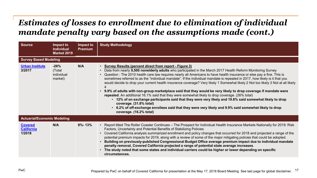# *Estimates of losses to enrollment due to elimination of individual mandate penalty vary based on the assumptions made (cont.)*

| <b>Source</b>                                 | Impact to<br><b>Individual</b><br><b>Market 2019</b> | Impact to<br><b>Premium</b> | <b>Study Methodology</b>                                                                                                                                                                                                                                                                                                                                                                                                                                                                                                                                                                                                                                                                                                                                                                                                                                                                                                                                                                                                                                                            |
|-----------------------------------------------|------------------------------------------------------|-----------------------------|-------------------------------------------------------------------------------------------------------------------------------------------------------------------------------------------------------------------------------------------------------------------------------------------------------------------------------------------------------------------------------------------------------------------------------------------------------------------------------------------------------------------------------------------------------------------------------------------------------------------------------------------------------------------------------------------------------------------------------------------------------------------------------------------------------------------------------------------------------------------------------------------------------------------------------------------------------------------------------------------------------------------------------------------------------------------------------------|
| <b>Survey Based Modeling</b>                  |                                                      |                             |                                                                                                                                                                                                                                                                                                                                                                                                                                                                                                                                                                                                                                                                                                                                                                                                                                                                                                                                                                                                                                                                                     |
| <b>Urban Institute</b><br>3/2017              | $-26%$<br>(Total<br>individual<br>market)            | N/A                         | • Survey Results (percent direct from report - Figure 3)<br>Data from nearly 9,500 nonelderly adults who participated in the March 2017 Health Reform Monitoring Survey<br>$\bullet$<br>Question : The 2010 health care law requires nearly all Americans to have health insurance or else pay a fine. This is<br>sometimes referred to as the "individual mandate". If the individual mandate is repealed in 2017, how likely is it that you<br>would decide to drop your current health insurance coverage? Very likely 1 Somewhat likely 2 Not too likely 3 Not at all likely<br>• 9.9% of adults with non-group marketplace said that they would be very likely to drop coverage if mandate were<br>repealed. An additional 16.1% said that they were somewhat likely to drop coverage. (26% total)<br>• 12% of on exchange participants said that they were very likely and 19.8% said somewhat likely to drop<br>coverage. (31.8% total)<br>• 6.2% of off-exchange enrollees said that they were very likely and 9.9% said somewhat likely to drop<br>coverage. (16.2% total) |
| <b>Actuarial/Economic Modeling</b>            |                                                      |                             |                                                                                                                                                                                                                                                                                                                                                                                                                                                                                                                                                                                                                                                                                                                                                                                                                                                                                                                                                                                                                                                                                     |
| <b>Covered</b><br><b>California</b><br>1/2018 | N/A                                                  | $8% - 13%$                  | • Report titled The Roller Coaster Continues – The Prospect for Individual Health Insurance Markets Nationally for 2019: Risk<br>Factors, Uncertainty and Potential Benefits of Stabilizing Policies<br>Covered California analysis summarized enrollment and policy changes that occurred for 2018 and projected a range of the<br>potential premium impacts for 2019, along with a review of some of the major mitigating policies that could be adopted.<br>Building on previously-published Congressional Budget Office average premium impact due to individual mandate<br>penalty removal, Covered California projected a range of potential state average increases.<br>The study noted that some states and individual carriers could be higher or lower depending on specific<br>circumstances.                                                                                                                                                                                                                                                                            |